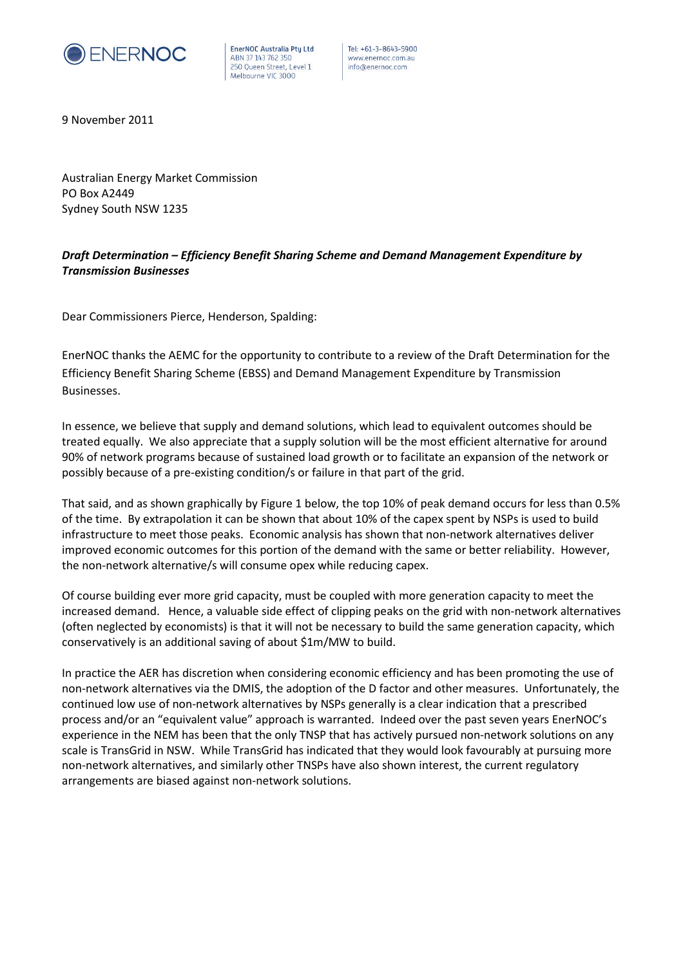

EnerNOC Australia Pty Ltd ABN 37 143 762 350 250 Queen Street, Level 1 Melbourne VIC 3000

Tel: +61-3-8643-5900 www.enernoc.com.au info@enernoc.com

9 November 2011

Australian Energy Market Commission PO Box A2449 Sydney South NSW 1235

## *Draft Determination – Efficiency Benefit Sharing Scheme and Demand Management Expenditure by Transmission Businesses*

Dear Commissioners Pierce, Henderson, Spalding:

EnerNOC thanks the AEMC for the opportunity to contribute to a review of the Draft Determination for the Efficiency Benefit Sharing Scheme (EBSS) and Demand Management Expenditure by Transmission Businesses.

In essence, we believe that supply and demand solutions, which lead to equivalent outcomes should be treated equally. We also appreciate that a supply solution will be the most efficient alternative for around 90% of network programs because of sustained load growth or to facilitate an expansion of the network or possibly because of a pre-existing condition/s or failure in that part of the grid.

That said, and as shown graphically by Figure 1 below, the top 10% of peak demand occurs for less than 0.5% of the time. By extrapolation it can be shown that about 10% of the capex spent by NSPs is used to build infrastructure to meet those peaks. Economic analysis has shown that non-network alternatives deliver improved economic outcomes for this portion of the demand with the same or better reliability. However, the non-network alternative/s will consume opex while reducing capex.

Of course building ever more grid capacity, must be coupled with more generation capacity to meet the increased demand. Hence, a valuable side effect of clipping peaks on the grid with non-network alternatives (often neglected by economists) is that it will not be necessary to build the same generation capacity, which conservatively is an additional saving of about \$1m/MW to build.

In practice the AER has discretion when considering economic efficiency and has been promoting the use of non-network alternatives via the DMIS, the adoption of the D factor and other measures. Unfortunately, the continued low use of non-network alternatives by NSPs generally is a clear indication that a prescribed process and/or an "equivalent value" approach is warranted. Indeed over the past seven years EnerNOC's experience in the NEM has been that the only TNSP that has actively pursued non-network solutions on any scale is TransGrid in NSW. While TransGrid has indicated that they would look favourably at pursuing more non-network alternatives, and similarly other TNSPs have also shown interest, the current regulatory arrangements are biased against non-network solutions.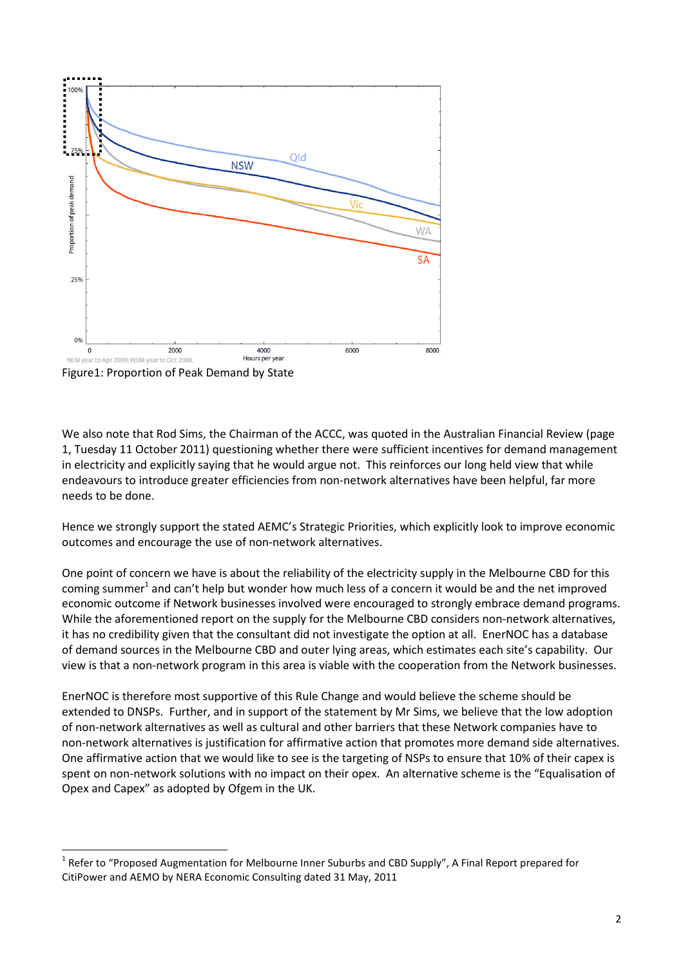

Figure1: Proportion of Peak Demand by State

We also note that Rod Sims, the Chairman of the ACCC, was quoted in the Australian Financial Review (page 1, Tuesday 11 October 2011) questioning whether there were sufficient incentives for demand management in electricity and explicitly saying that he would argue not. This reinforces our long held view that while endeavours to introduce greater efficiencies from non-network alternatives have been helpful, far more needs to be done.

Hence we strongly support the stated AEMC's Strategic Priorities, which explicitly look to improve economic outcomes and encourage the use of non-network alternatives.

One point of concern we have is about the reliability of the electricity supply in the Melbourne CBD for this coming summer<sup>1</sup> and can't help but wonder how much less of a concern it would be and the net improved economic outcome if Network businesses involved were encouraged to strongly embrace demand programs. While the aforementioned report on the supply for the Melbourne CBD considers non-network alternatives, it has no credibility given that the consultant did not investigate the option at all. EnerNOC has a database of demand sources in the Melbourne CBD and outer lying areas, which estimates each site's capability. Our view is that a non-network program in this area is viable with the cooperation from the Network businesses.

EnerNOC is therefore most supportive of this Rule Change and would believe the scheme should be extended to DNSPs. Further, and in support of the statement by Mr Sims, we believe that the low adoption of non-network alternatives as well as cultural and other barriers that these Network companies have to non-network alternatives is justification for affirmative action that promotes more demand side alternatives. One affirmative action that we would like to see is the targeting of NSPs to ensure that 10% of their capex is spent on non-network solutions with no impact on their opex. An alternative scheme is the "Equalisation of Opex and Capex" as adopted by Ofgem in the UK.

<sup>&</sup>lt;sup>1</sup> Refer to "Proposed Augmentation for Melbourne Inner Suburbs and CBD Supply", A Final Report prepared for CitiPower and AEMO by NERA Economic Consulting dated 31 May, 2011